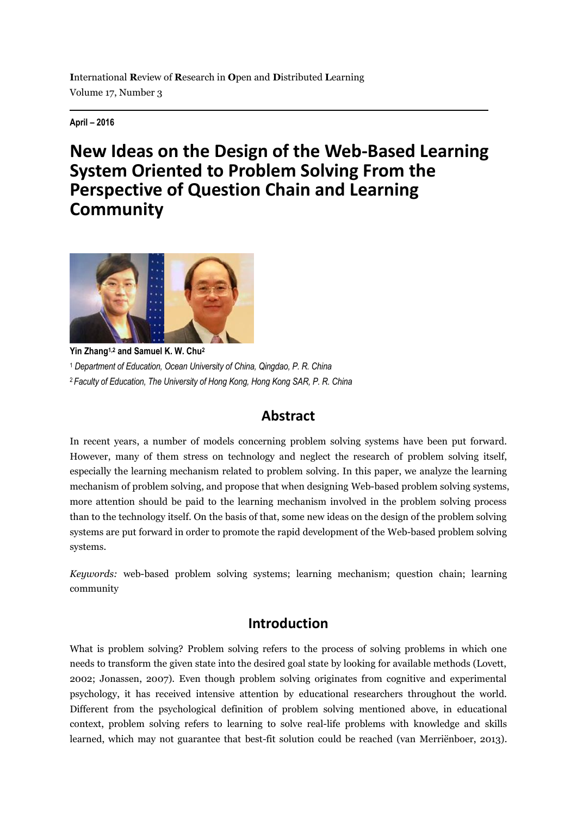**April – 2016**

# **New Ideas on the Design of the Web-Based Learning System Oriented to Problem Solving From the Perspective of Question Chain and Learning Community**



**Yin Zhang1,2 and Samuel K. W. Chu<sup>2</sup>** <sup>1</sup> *Department of Education, Ocean University of China, Qingdao, P. R. China* <sup>2</sup>*Faculty of Education, The University of Hong Kong, Hong Kong SAR, P. R. China*

## **Abstract**

In recent years, a number of models concerning problem solving systems have been put forward. However, many of them stress on technology and neglect the research of problem solving itself, especially the learning mechanism related to problem solving. In this paper, we analyze the learning mechanism of problem solving, and propose that when designing Web-based problem solving systems, more attention should be paid to the learning mechanism involved in the problem solving process than to the technology itself. On the basis of that, some new ideas on the design of the problem solving systems are put forward in order to promote the rapid development of the Web-based problem solving systems.

*Keywords:* web-based problem solving systems; learning mechanism; question chain; learning community

### **Introduction**

What is problem solving? Problem solving refers to the process of solving problems in which one needs to transform the given state into the desired goal state by looking for available methods (Lovett, 2002; Jonassen, 2007). Even though problem solving originates from cognitive and experimental psychology, it has received intensive attention by educational researchers throughout the world. Different from the psychological definition of problem solving mentioned above, in educational context, problem solving refers to learning to solve real-life problems with knowledge and skills learned, which may not guarantee that best-fit solution could be reached (van Merriënboer, 2013).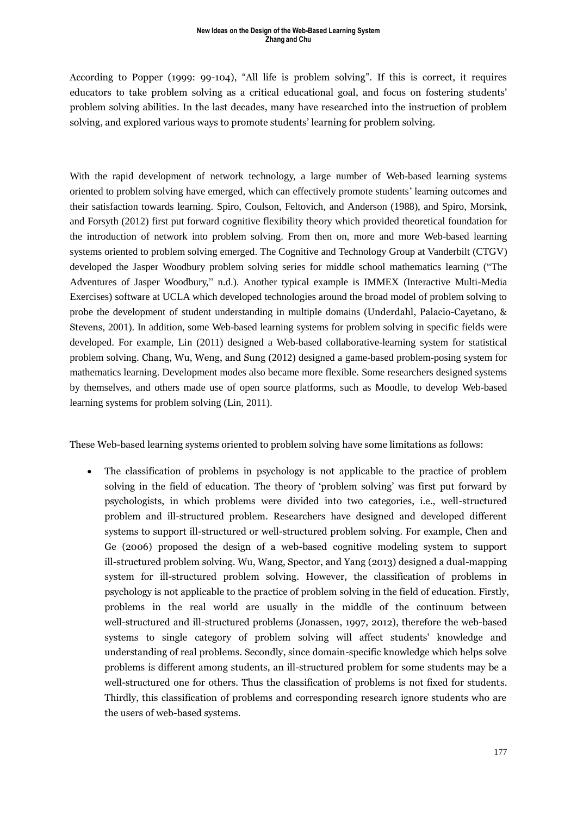According to Popper (1999: 99-104), "All life is problem solving". If this is correct, it requires educators to take problem solving as a critical educational goal, and focus on fostering students' problem solving abilities. In the last decades, many have researched into the instruction of problem solving, and explored various ways to promote students' learning for problem solving.

With the rapid development of network technology, a large number of Web-based learning systems oriented to problem solving have emerged, which can effectively promote students' learning outcomes and their satisfaction towards learning. Spiro, Coulson, Feltovich, and Anderson (1988), and Spiro, Morsink, and Forsyth (2012) first put forward cognitive flexibility theory which provided theoretical foundation for the introduction of network into problem solving. From then on, more and more Web-based learning systems oriented to problem solving emerged. The Cognitive and Technology Group at Vanderbilt (CTGV) developed the Jasper Woodbury problem solving series for middle school mathematics learning ("The Adventures of Jasper Woodbury," n.d.). Another typical example is IMMEX (Interactive Multi-Media Exercises) software at UCLA which developed technologies around the broad model of problem solving to probe the development of student understanding in multiple domains (Underdahl, Palacio-Cayetano, & Stevens, 2001). In addition, some Web-based learning systems for problem solving in specific fields were developed. For example, Lin (2011) designed a Web-based collaborative-learning system for statistical problem solving. Chang, Wu, Weng, and Sung (2012) designed a game-based problem-posing system for mathematics learning. Development modes also became more flexible. Some researchers designed systems by themselves, and others made use of open source platforms, such as Moodle, to develop Web-based learning systems for problem solving (Lin, 2011).

These Web-based learning systems oriented to problem solving have some limitations as follows:

 The classification of problems in psychology is not applicable to the practice of problem solving in the field of education. The theory of 'problem solving' was first put forward by psychologists, in which problems were divided into two categories, i.e., well-structured problem and ill-structured problem. Researchers have designed and developed different systems to support ill-structured or well-structured problem solving. For example, Chen and Ge (2006) proposed the design of a web-based cognitive modeling system to support ill-structured problem solving. Wu, Wang, Spector, and Yang (2013) designed a dual-mapping system for ill-structured problem solving. However, the classification of problems in psychology is not applicable to the practice of problem solving in the field of education. Firstly, problems in the real world are usually in the middle of the continuum between well-structured and ill-structured problems (Jonassen, 1997, 2012), therefore the web-based systems to single category of problem solving will affect students' knowledge and understanding of real problems. Secondly, since domain-specific knowledge which helps solve problems is different among students, an ill-structured problem for some students may be a well-structured one for others. Thus the classification of problems is not fixed for students. Thirdly, this classification of problems and corresponding research ignore students who are the users of web-based systems.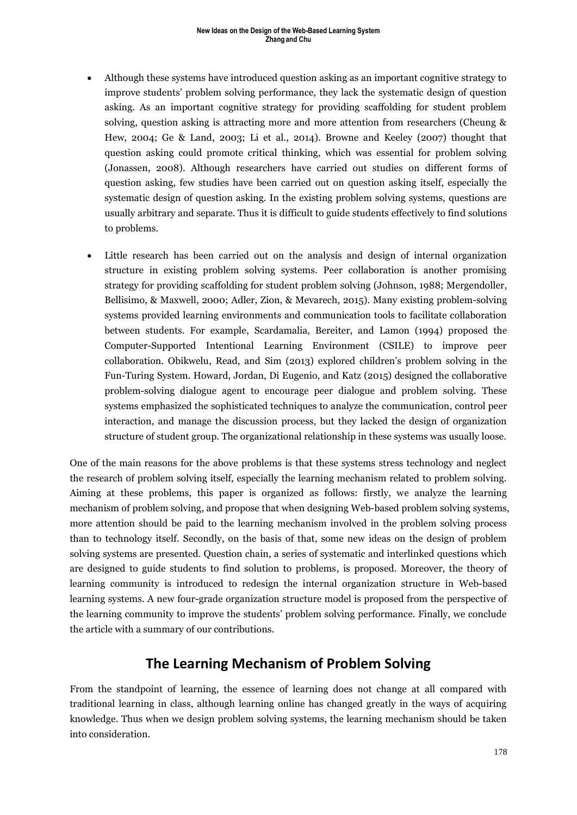### **New Ideas on the Design of the Web-Based Learning System Zhang and Chu**

- Although these systems have introduced question asking as an important cognitive strategy to improve students' problem solving performance, they lack the systematic design of question asking. As an important cognitive strategy for providing scaffolding for student problem solving, question asking is attracting more and more attention from researchers (Cheung & Hew, 2004; Ge & Land, 2003; Li et al., 2014). Browne and Keeley (2007) thought that question asking could promote critical thinking, which was essential for problem solving (Jonassen, 2008). Although researchers have carried out studies on different forms of question asking, few studies have been carried out on question asking itself, especially the systematic design of question asking. In the existing problem solving systems, questions are usually arbitrary and separate. Thus it is difficult to guide students effectively to find solutions to problems.
- Little research has been carried out on the analysis and design of internal organization structure in existing problem solving systems. Peer collaboration is another promising strategy for providing scaffolding for student problem solving (Johnson, 1988; Mergendoller, Bellisimo, & Maxwell, 2000; Adler, Zion, & Mevarech, 2015). Many existing problem-solving systems provided learning environments and communication tools to facilitate collaboration between students. For example, Scardamalia, Bereiter, and Lamon (1994) proposed the Computer-Supported Intentional Learning Environment (CSILE) to improve peer collaboration. Obikwelu, Read, and Sim (2013) explored children's problem solving in the Fun-Turing System. Howard, Jordan, Di Eugenio, and Katz (2015) designed the collaborative problem-solving dialogue agent to encourage peer dialogue and problem solving. These systems emphasized the sophisticated techniques to analyze the communication, control peer interaction, and manage the discussion process, but they lacked the design of organization structure of student group. The organizational relationship in these systems was usually loose.

One of the main reasons for the above problems is that these systems stress technology and neglect the research of problem solving itself, especially the learning mechanism related to problem solving. Aiming at these problems, this paper is organized as follows: firstly, we analyze the learning mechanism of problem solving, and propose that when designing Web-based problem solving systems, more attention should be paid to the learning mechanism involved in the problem solving process than to technology itself. Secondly, on the basis of that, some new ideas on the design of problem solving systems are presented. Question chain, a series of systematic and interlinked questions which are designed to guide students to find solution to problems, is proposed. Moreover, the theory of learning community is introduced to redesign the internal organization structure in Web-based learning systems. A new four-grade organization structure model is proposed from the perspective of the learning community to improve the students' problem solving performance. Finally, we conclude the article with a summary of our contributions.

### **The Learning Mechanism of Problem Solving**

From the standpoint of learning, the essence of learning does not change at all compared with traditional learning in class, although learning online has changed greatly in the ways of acquiring knowledge. Thus when we design problem solving systems, the learning mechanism should be taken into consideration.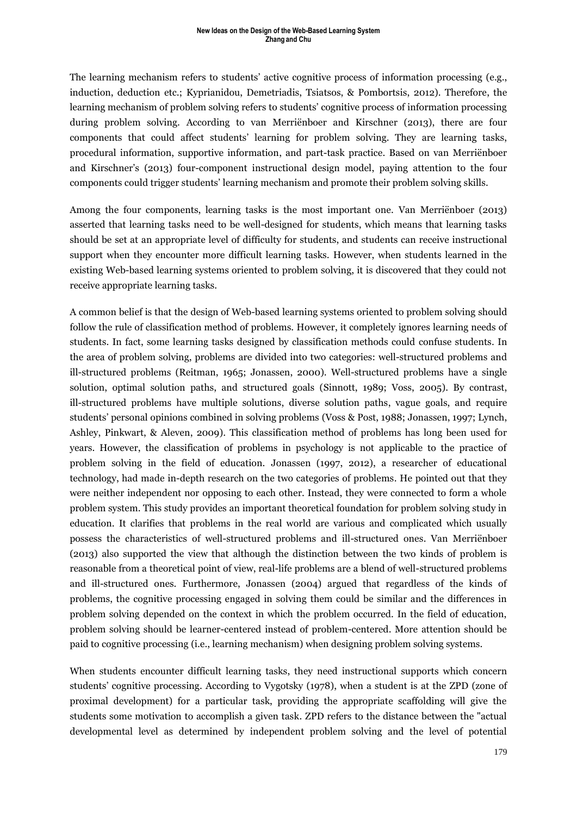The learning mechanism refers to students' active cognitive process of information processing (e.g., induction, deduction etc.; Kyprianidou, Demetriadis, Tsiatsos, & Pombortsis, 2012). Therefore, the learning mechanism of problem solving refers to students' cognitive process of information processing during problem solving. According to van Merriënboer and Kirschner (2013), there are four components that could affect students' learning for problem solving. They are learning tasks, procedural information, supportive information, and part-task practice. Based on van Merriënboer and Kirschner's (2013) four-component instructional design model, paying attention to the four components could trigger students' learning mechanism and promote their problem solving skills.

Among the four components, learning tasks is the most important one. Van Merriënboer (2013) asserted that learning tasks need to be well-designed for students, which means that learning tasks should be set at an appropriate level of difficulty for students, and students can receive instructional support when they encounter more difficult learning tasks. However, when students learned in the existing Web-based learning systems oriented to problem solving, it is discovered that they could not receive appropriate learning tasks.

A common belief is that the design of Web-based learning systems oriented to problem solving should follow the rule of classification method of problems. However, it completely ignores learning needs of students. In fact, some learning tasks designed by classification methods could confuse students. In the area of problem solving, problems are divided into two categories: well-structured problems and ill-structured problems (Reitman, 1965; Jonassen, 2000). Well-structured problems have a single solution, optimal solution paths, and structured goals (Sinnott, 1989; Voss, 2005). By contrast, ill-structured problems have multiple solutions, diverse solution paths, vague goals, and require students' personal opinions combined in solving problems (Voss & Post, 1988; Jonassen, 1997; Lynch, Ashley, Pinkwart, & Aleven, 2009). This classification method of problems has long been used for years. However, the classification of problems in psychology is not applicable to the practice of problem solving in the field of education. Jonassen (1997, 2012), a researcher of educational technology, had made in-depth research on the two categories of problems. He pointed out that they were neither independent nor opposing to each other. Instead, they were connected to form a whole problem system. This study provides an important theoretical foundation for problem solving study in education. It clarifies that problems in the real world are various and complicated which usually possess the characteristics of well-structured problems and ill-structured ones. Van Merriënboer (2013) also supported the view that although the distinction between the two kinds of problem is reasonable from a theoretical point of view, real-life problems are a blend of well-structured problems and ill-structured ones. Furthermore, Jonassen (2004) argued that regardless of the kinds of problems, the cognitive processing engaged in solving them could be similar and the differences in problem solving depended on the context in which the problem occurred. In the field of education, problem solving should be learner-centered instead of problem-centered. More attention should be paid to cognitive processing (i.e., learning mechanism) when designing problem solving systems.

When students encounter difficult learning tasks, they need instructional supports which concern students' cognitive processing. According to Vygotsky (1978), when a student is at the ZPD (zone of proximal development) for a particular task, providing the appropriate scaffolding will give the students some motivation to accomplish a given task. ZPD refers to the distance between the "actual developmental level as determined by independent problem solving and the level of potential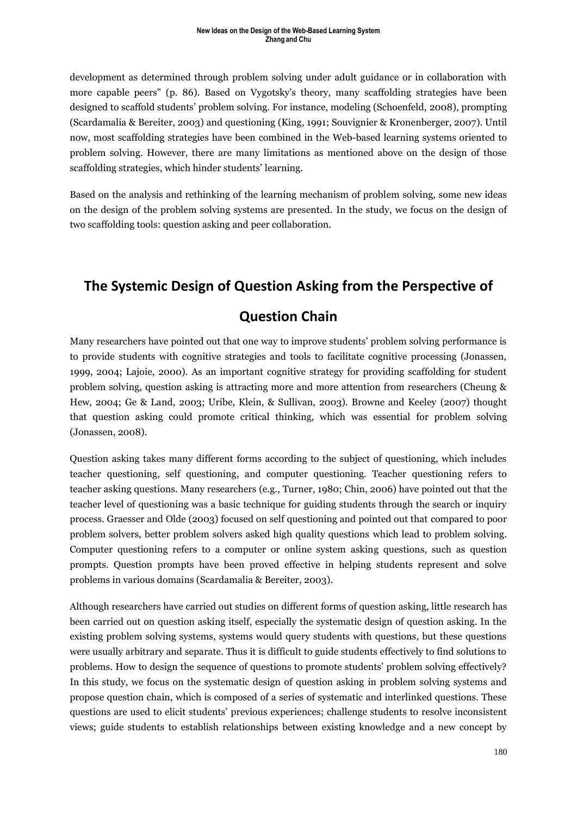development as determined through problem solving under adult guidance or in collaboration with more capable peers" (p. 86). Based on Vygotsky's theory, many scaffolding strategies have been designed to scaffold students' problem solving. For instance, modeling (Schoenfeld, 2008), prompting (Scardamalia & Bereiter, 2003) and questioning (King, 1991; Souvignier & Kronenberger, 2007). Until now, most scaffolding strategies have been combined in the Web-based learning systems oriented to problem solving. However, there are many limitations as mentioned above on the design of those scaffolding strategies, which hinder students' learning.

Based on the analysis and rethinking of the learning mechanism of problem solving, some new ideas on the design of the problem solving systems are presented. In the study, we focus on the design of two scaffolding tools: question asking and peer collaboration.

## **The Systemic Design of Question Asking from the Perspective of**

### **Question Chain**

Many researchers have pointed out that one way to improve students' problem solving performance is to provide students with cognitive strategies and tools to facilitate cognitive processing (Jonassen, 1999, 2004; Lajoie, 2000). As an important cognitive strategy for providing scaffolding for student problem solving, question asking is attracting more and more attention from researchers (Cheung & Hew, 2004; Ge & Land, 2003; Uribe, Klein, & Sullivan, 2003). Browne and Keeley (2007) thought that question asking could promote critical thinking, which was essential for problem solving (Jonassen, 2008).

Question asking takes many different forms according to the subject of questioning, which includes teacher questioning, self questioning, and computer questioning. Teacher questioning refers to teacher asking questions. Many researchers (e.g., Turner, 1980; Chin, 2006) have pointed out that the teacher level of questioning was a basic technique for guiding students through the search or inquiry process. Graesser and Olde (2003) focused on self questioning and pointed out that compared to poor problem solvers, better problem solvers asked high quality questions which lead to problem solving. Computer questioning refers to a computer or online system asking questions, such as question prompts. Question prompts have been proved effective in helping students represent and solve problems in various domains (Scardamalia & Bereiter, 2003).

Although researchers have carried out studies on different forms of question asking, little research has been carried out on question asking itself, especially the systematic design of question asking. In the existing problem solving systems, systems would query students with questions, but these questions were usually arbitrary and separate. Thus it is difficult to guide students effectively to find solutions to problems. How to design the sequence of questions to promote students' problem solving effectively? In this study, we focus on the systematic design of question asking in problem solving systems and propose question chain, which is composed of a series of systematic and interlinked questions. These questions are used to elicit students' previous experiences; challenge students to resolve inconsistent views; guide students to establish relationships between existing knowledge and a new concept by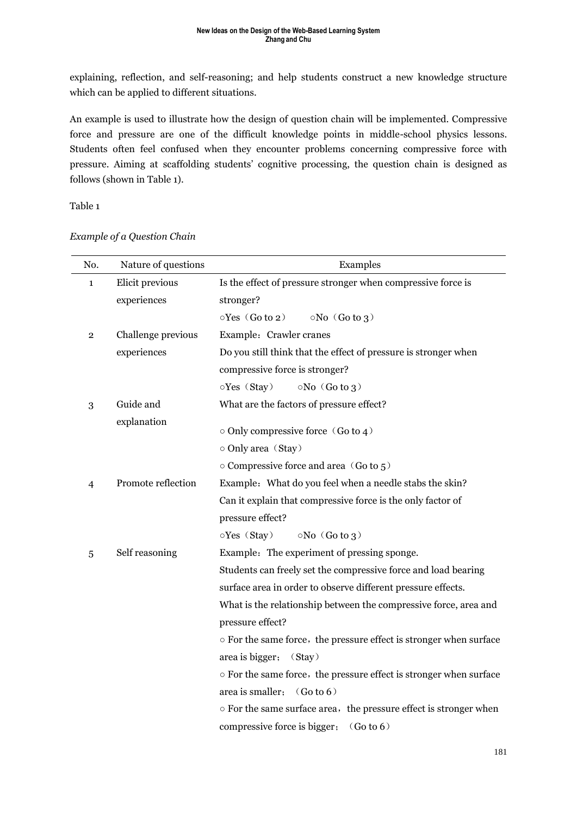explaining, reflection, and self-reasoning; and help students construct a new knowledge structure which can be applied to different situations.

An example is used to illustrate how the design of question chain will be implemented. Compressive force and pressure are one of the difficult knowledge points in middle-school physics lessons. Students often feel confused when they encounter problems concerning compressive force with pressure. Aiming at scaffolding students' cognitive processing, the question chain is designed as follows (shown in Table 1).

Table 1

| No.          | Nature of questions | Examples                                                           |
|--------------|---------------------|--------------------------------------------------------------------|
| $\mathbf{1}$ | Elicit previous     | Is the effect of pressure stronger when compressive force is       |
|              | experiences         | stronger?                                                          |
|              |                     | $\circ$ Yes (Go to 2)<br>$\circ$ No (Go to 3)                      |
| 2            | Challenge previous  | Example: Crawler cranes                                            |
|              | experiences         | Do you still think that the effect of pressure is stronger when    |
|              |                     | compressive force is stronger?                                     |
|              |                     | oYes (Stay)<br>$\circ$ No $(Go$ to 3)                              |
| 3            | Guide and           | What are the factors of pressure effect?                           |
|              | explanation         |                                                                    |
|              |                     | $\circ$ Only compressive force (Go to 4)                           |
|              |                     | o Only area (Stay)                                                 |
|              |                     | ○ Compressive force and area (Go to 5)                             |
| 4            | Promote reflection  | Example: What do you feel when a needle stabs the skin?            |
|              |                     | Can it explain that compressive force is the only factor of        |
|              |                     | pressure effect?                                                   |
|              |                     | oYes (Stay)<br>$\circ$ No $(Go$ to 3)                              |
| 5            | Self reasoning      | Example: The experiment of pressing sponge.                        |
|              |                     | Students can freely set the compressive force and load bearing     |
|              |                     | surface area in order to observe different pressure effects.       |
|              |                     | What is the relationship between the compressive force, area and   |
|              |                     | pressure effect?                                                   |
|              |                     | o For the same force, the pressure effect is stronger when surface |
|              |                     | area is bigger;<br>(Stay)                                          |
|              |                     | o For the same force, the pressure effect is stronger when surface |
|              |                     | area is smaller: $(Go to 6)$                                       |
|              |                     | o For the same surface area, the pressure effect is stronger when  |
|              |                     | compressive force is bigger; $(Go to 6)$                           |

### *Example of a Question Chain*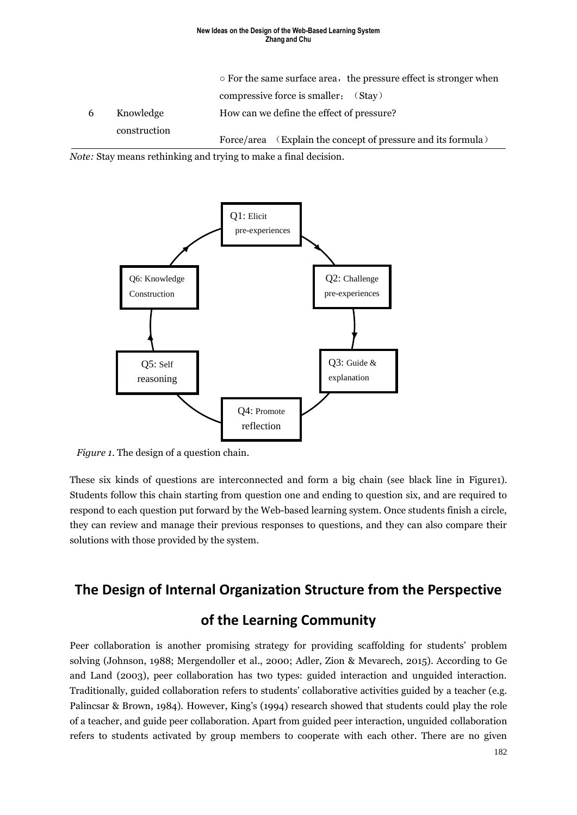### **New Ideas on the Design of the Web-Based Learning System Zhang and Chu**

|   |              | $\circ$ For the same surface area, the pressure effect is stronger when |
|---|--------------|-------------------------------------------------------------------------|
|   |              | compressive force is smaller; (Stay)                                    |
| 6 | Knowledge    | How can we define the effect of pressure?                               |
|   | construction | Force/area (Explain the concept of pressure and its formula)            |

*Note:* Stay means rethinking and trying to make a final decision.



*Figure 1*. The design of a question chain.

These six kinds of questions are interconnected and form a big chain (see black line in Figure1). Students follow this chain starting from question one and ending to question six, and are required to respond to each question put forward by the Web-based learning system. Once students finish a circle, they can review and manage their previous responses to questions, and they can also compare their solutions with those provided by the system.

### **The Design of Internal Organization Structure from the Perspective**

### **of the Learning Community**

Peer collaboration is another promising strategy for providing scaffolding for students' problem solving (Johnson, 1988; Mergendoller et al., 2000; Adler, Zion & Mevarech, 2015). According to Ge and Land (2003), peer collaboration has two types: guided interaction and unguided interaction. Traditionally, guided collaboration refers to students' collaborative activities guided by a teacher (e.g. Palincsar & Brown, 1984). However, King's (1994) research showed that students could play the role of a teacher, and guide peer collaboration. Apart from guided peer interaction, unguided collaboration refers to students activated by group members to cooperate with each other. There are no given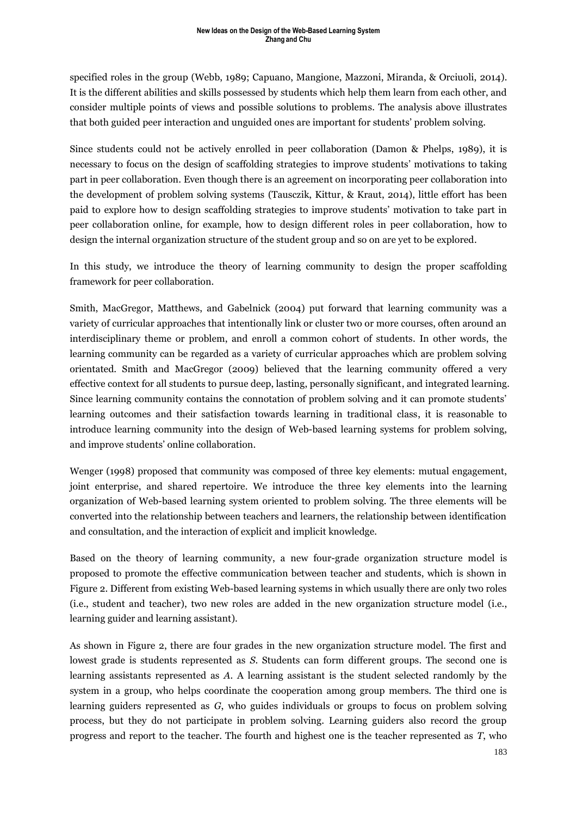specified roles in the group (Webb, 1989; Capuano, Mangione, Mazzoni, Miranda, & Orciuoli, 2014). It is the different abilities and skills possessed by students which help them learn from each other, and consider multiple points of views and possible solutions to problems. The analysis above illustrates that both guided peer interaction and unguided ones are important for students' problem solving.

Since students could not be actively enrolled in peer collaboration (Damon & Phelps, 1989), it is necessary to focus on the design of scaffolding strategies to improve students' motivations to taking part in peer collaboration. Even though there is an agreement on incorporating peer collaboration into the development of problem solving systems (Tausczik, Kittur, & Kraut, 2014), little effort has been paid to explore how to design scaffolding strategies to improve students' motivation to take part in peer collaboration online, for example, how to design different roles in peer collaboration, how to design the internal organization structure of the student group and so on are yet to be explored.

In this study, we introduce the theory of learning community to design the proper scaffolding framework for peer collaboration.

Smith, MacGregor, Matthews, and Gabelnick (2004) put forward that learning community was a variety of curricular approaches that intentionally link or cluster two or more courses, often around an interdisciplinary theme or problem, and enroll a common cohort of students. In other words, the learning community can be regarded as a variety of curricular approaches which are problem solving orientated. Smith and MacGregor (2009) believed that the learning community offered a very effective context for all students to pursue deep, lasting, personally significant, and integrated learning. Since learning community contains the connotation of problem solving and it can promote students' learning outcomes and their satisfaction towards learning in traditional class, it is reasonable to introduce learning community into the design of Web-based learning systems for problem solving, and improve students' online collaboration.

Wenger (1998) proposed that community was composed of three key elements: mutual engagement, joint enterprise, and shared repertoire. We introduce the three key elements into the learning organization of Web-based learning system oriented to problem solving. The three elements will be converted into the relationship between teachers and learners, the relationship between identification and consultation, and the interaction of explicit and implicit knowledge.

Based on the theory of learning community, a new four-grade organization structure model is proposed to promote the effective communication between teacher and students, which is shown in Figure 2. Different from existing Web-based learning systems in which usually there are only two roles (i.e., student and teacher), two new roles are added in the new organization structure model (i.e., learning guider and learning assistant).

As shown in Figure 2, there are four grades in the new organization structure model. The first and lowest grade is students represented as *S*. Students can form different groups. The second one is learning assistants represented as *A*. A learning assistant is the student selected randomly by the system in a group, who helps coordinate the cooperation among group members. The third one is learning guiders represented as *G*, who guides individuals or groups to focus on problem solving process, but they do not participate in problem solving. Learning guiders also record the group progress and report to the teacher. The fourth and highest one is the teacher represented as *T*, who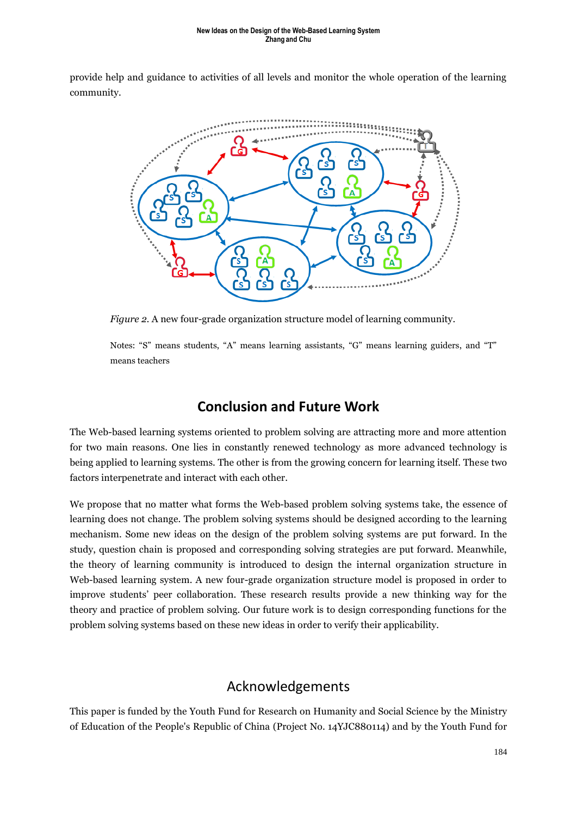provide help and guidance to activities of all levels and monitor the whole operation of the learning community.



*Figure 2.* A new four-grade organization structure model of learning community.

Notes: "S" means students, "A" means learning assistants, "G" means learning guiders, and "T" means teachers

## **Conclusion and Future Work**

The Web-based learning systems oriented to problem solving are attracting more and more attention for two main reasons. One lies in constantly renewed technology as more advanced technology is being applied to learning systems. The other is from the growing concern for learning itself. These two factors interpenetrate and interact with each other.

We propose that no matter what forms the Web-based problem solving systems take, the essence of learning does not change. The problem solving systems should be designed according to the learning mechanism. Some new ideas on the design of the problem solving systems are put forward. In the study, question chain is proposed and corresponding solving strategies are put forward. Meanwhile, the theory of learning community is introduced to design the internal organization structure in Web-based learning system. A new four-grade organization structure model is proposed in order to improve students' peer collaboration. These research results provide a new thinking way for the theory and practice of problem solving. Our future work is to design corresponding functions for the problem solving systems based on these new ideas in order to verify their applicability.

### Acknowledgements

This paper is funded by the Youth Fund for Research on Humanity and Social Science by the Ministry of Education of the People's Republic of China (Project No. 14YJC880114) and by the Youth Fund for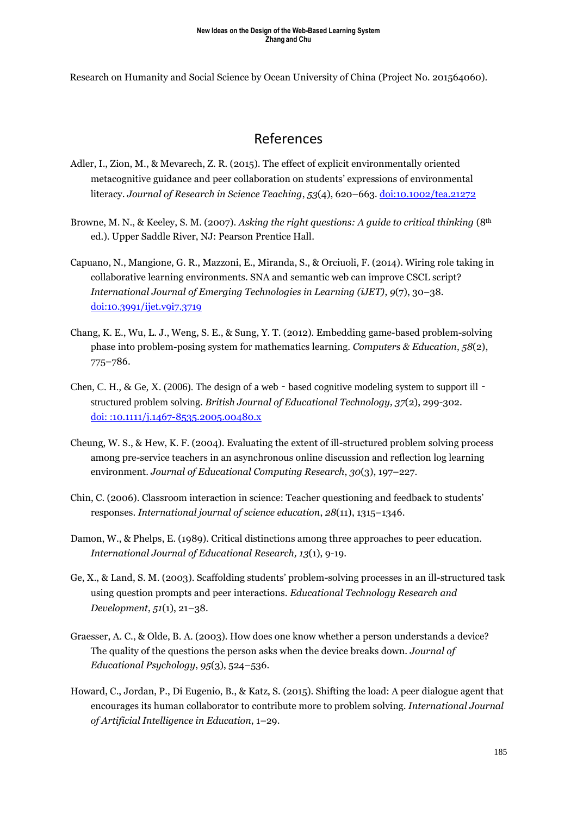Research on Humanity and Social Science by Ocean University of China (Project No. 201564060).

### References

- Adler, I., Zion, M., & Mevarech, Z. R. (2015). The effect of explicit environmentally oriented metacognitive guidance and peer collaboration on students' expressions of environmental literacy. *Journal of Research in Science Teaching*, *53*(4), 620–663*.* <doi:10.1002/tea.21272>
- Browne, M. N., & Keeley, S. M. (2007). *Asking the right questions: A guide to critical thinking* (8th ed.). Upper Saddle River, NJ: Pearson Prentice Hall.
- Capuano, N., Mangione, G. R., Mazzoni, E., Miranda, S., & Orciuoli, F. (2014). Wiring role taking in collaborative learning environments. SNA and semantic web can improve CSCL script? *International Journal of Emerging Technologies in Learning (iJET)*, *9*(7), 30–38. <doi:10.3991/ijet.v9i7.3719>
- Chang, K. E., Wu, L. J., Weng, S. E., & Sung, Y. T. (2012). Embedding game-based problem-solving phase into problem-posing system for mathematics learning. *Computers & Education*, *58*(2), 775–786.
- Chen, C. H., & Ge, X. (2006). The design of a web based cognitive modeling system to support ill structured problem solving. *British Journal of Educational Technology, 37*(2), 299-302. [doi: :10.1111/j.1467-8535.2005.00480.x](doi:%20:10.1111/j.1467-8535.2005.00480.x)
- Cheung, W. S., & Hew, K. F. (2004). Evaluating the extent of ill-structured problem solving process among pre-service teachers in an asynchronous online discussion and reflection log learning environment. *Journal of Educational Computing Research*, *30*(3), 197–227.
- Chin, C. (2006). Classroom interaction in science: Teacher questioning and feedback to students' responses. *International journal of science education*, *28*(11), 1315–1346.
- Damon, W., & Phelps, E. (1989). Critical distinctions among three approaches to peer education. *International Journal of Educational Research, 13*(1), 9-19.
- Ge, X., & Land, S. M. (2003). Scaffolding students' problem-solving processes in an ill-structured task using question prompts and peer interactions. *Educational Technology Research and Development*, *51*(1), 21–38.
- Graesser, A. C., & Olde, B. A. (2003). How does one know whether a person understands a device? The quality of the questions the person asks when the device breaks down. *Journal of Educational Psychology*, *95*(3), 524–536.
- Howard, C., Jordan, P., Di Eugenio, B., & Katz, S. (2015). Shifting the load: A peer dialogue agent that encourages its human collaborator to contribute more to problem solving. *International Journal of Artificial Intelligence in Education*, 1–29.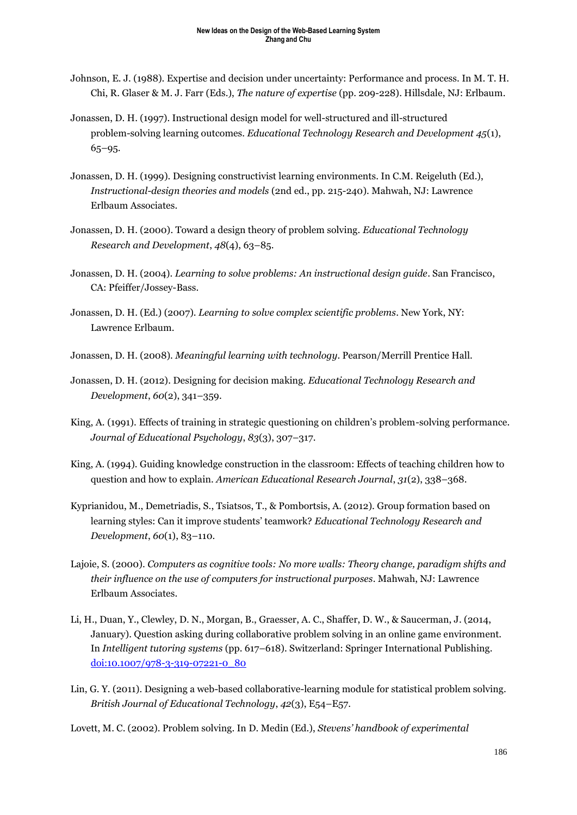- Johnson, E. J. (1988). Expertise and decision under uncertainty: Performance and process. In M. T. H. Chi, R. Glaser & M. J. Farr (Eds.), *The nature of expertise* (pp. 209-228). Hillsdale, NJ: Erlbaum.
- Jonassen, D. H. (1997). Instructional design model for well-structured and ill-structured problem-solving learning outcomes. *Educational Technology Research and Development 45*(1), 65–95.
- Jonassen, D. H. (1999). Designing constructivist learning environments. In C.M. Reigeluth (Ed.), *Instructional-design theories and models* (2nd ed., pp. 215-240). Mahwah, NJ: Lawrence Erlbaum Associates.
- Jonassen, D. H. (2000). Toward a design theory of problem solving. *Educational Technology Research and Development*, *48*(4), 63–85.
- Jonassen, D. H. (2004). *Learning to solve problems: An instructional design guide*. San Francisco, CA: Pfeiffer/Jossey-Bass.
- Jonassen, D. H. (Ed.) (2007). *Learning to solve complex scientific problems*. New York, NY: Lawrence Erlbaum.

Jonassen, D. H. (2008). *Meaningful learning with technology*. Pearson/Merrill Prentice Hall.

- Jonassen, D. H. (2012). Designing for decision making. *Educational Technology Research and Development*, *60*(2), 341–359.
- King, A. (1991). Effects of training in strategic questioning on children's problem-solving performance. *Journal of Educational Psychology*, *83*(3), 307–317.
- King, A. (1994). Guiding knowledge construction in the classroom: Effects of teaching children how to question and how to explain. *American Educational Research Journal*, *31*(2), 338–368.
- Kyprianidou, M., Demetriadis, S., Tsiatsos, T., & Pombortsis, A. (2012). Group formation based on learning styles: Can it improve students' teamwork? *Educational Technology Research and Development*, *60*(1), 83–110.
- Lajoie, S. (2000). *Computers as cognitive tools: No more walls: Theory change, paradigm shifts and their influence on the use of computers for instructional purposes*. Mahwah, NJ: Lawrence Erlbaum Associates.
- Li, H., Duan, Y., Clewley, D. N., Morgan, B., Graesser, A. C., Shaffer, D. W., & Saucerman, J. (2014, January). Question asking during collaborative problem solving in an online game environment. In *Intelligent tutoring systems* (pp. 617–618). Switzerland: Springer International Publishing. [doi:10.1007/978-3-319-07221-0\\_80](doi:10.1007/978-3-319-07221-0_80)
- Lin, G. Y. (2011). Designing a web-based collaborative-learning module for statistical problem solving. *British Journal of Educational Technology*, *42*(3), E54–E57.
- Lovett, M. C. (2002). Problem solving. In D. Medin (Ed.), *Stevens' handbook of experimental*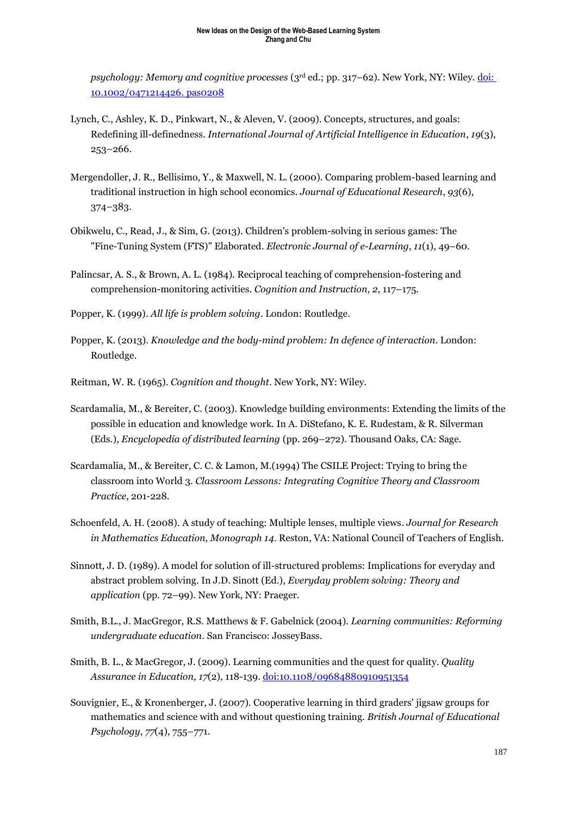*psychology: Memory and cognitive processes* (3rd ed.; pp. 317–62). New York, NY: Wiley[. doi:](doi:%2010.1002/0471214426.%20pas0208)  [10.1002/0471214426.](doi:%2010.1002/0471214426.%20pas0208) pas0208

- Lynch, C., Ashley, K. D., Pinkwart, N., & Aleven, V. (2009). Concepts, structures, and goals: Redefining ill-definedness. *International Journal of Artificial Intelligence in Education*, *19*(3), 253–266.
- Mergendoller, J. R., Bellisimo, Y., & Maxwell, N. L. (2000). Comparing problem-based learning and traditional instruction in high school economics. *Journal of Educational Research*, *93*(6), 374–383.
- Obikwelu, C., Read, J., & Sim, G. (2013). Children's problem-solving in serious games: The "Fine-Tuning System (FTS)" Elaborated. *Electronic Journal of e-Learning*, *11*(1), 49–60.
- Palincsar, A. S., & Brown, A. L. (1984). Reciprocal teaching of comprehension-fostering and comprehension-monitoring activities. *Cognition and Instruction*, *2*, 117–175.
- Popper, K. (1999). *All life is problem solving*. London: Routledge.
- Popper, K. (2013). *Knowledge and the body-mind problem: In defence of interaction*. London: Routledge.
- Reitman, W. R. (1965). *Cognition and thought*. New York, NY: Wiley.
- Scardamalia, M., & Bereiter, C. (2003). Knowledge building environments: Extending the limits of the possible in education and knowledge work. In A. DiStefano, K. E. Rudestam, & R. Silverman (Eds.), *Encyclopedia of distributed learning* (pp. 269–272). Thousand Oaks, CA: Sage.
- Scardamalia, M., & Bereiter, C. C. & Lamon, M.(1994) The CSILE Project: Trying to bring the classroom into World 3. *Classroom Lessons: Integrating Cognitive Theory and Classroom Practice*, 201-228.
- Schoenfeld, A. H. (2008). A study of teaching: Multiple lenses, multiple views. *Journal for Research in Mathematics Education, Monograph 14*. Reston, VA: National Council of Teachers of English.
- Sinnott, J. D. (1989). A model for solution of ill-structured problems: Implications for everyday and abstract problem solving. In J.D. Sinott (Ed.), *Everyday problem solving: Theory and application* (pp. 72–99). New York, NY: Praeger.
- Smith, B.L., J. MacGregor, R.S. Matthews & F. Gabelnick (2004). *Learning communities: Reforming undergraduate education*. San Francisco: JosseyBass.
- Smith, B. L., & MacGregor, J. (2009). Learning communities and the quest for quality. *Quality Assurance in Education, 17*(2), 118-139[. doi:10.1108/09684880910951354](doi:10.1108/09684880910951354)
- Souvignier, E., & Kronenberger, J. (2007). Cooperative learning in third graders' jigsaw groups for mathematics and science with and without questioning training. *British Journal of Educational Psychology*, *77*(4), 755–771.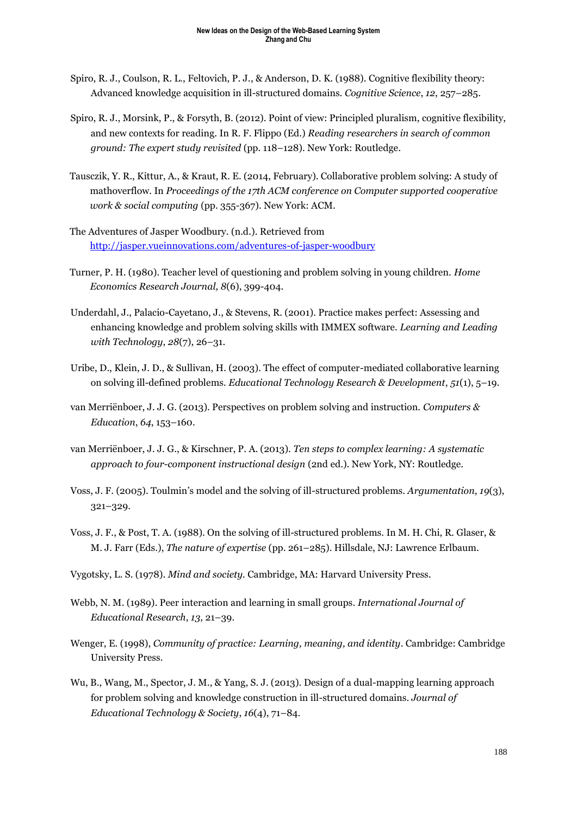- Spiro, R. J., Coulson, R. L., Feltovich, P. J., & Anderson, D. K. (1988). Cognitive flexibility theory: Advanced knowledge acquisition in ill-structured domains. *Cognitive Science*, *12*, 257–285.
- Spiro, R. J., Morsink, P., & Forsyth, B. (2012). Point of view: Principled pluralism, cognitive flexibility, and new contexts for reading. In R. F. Flippo (Ed.) *Reading researchers in search of common ground: The expert study revisited* (pp. 118–128). New York: Routledge.
- Tausczik, Y. R., Kittur, A., & Kraut, R. E. (2014, February). Collaborative problem solving: A study of mathoverflow. In *Proceedings of the 17th ACM conference on Computer supported cooperative work & social computing* (pp. 355-367). New York: ACM.
- The Adventures of Jasper Woodbury. (n.d.). Retrieved from <http://jasper.vueinnovations.com/adventures-of-jasper-woodbury>
- Turner, P. H. (1980). Teacher level of questioning and problem solving in young children. *Home Economics Research Journal, 8*(6), 399-404.
- Underdahl, J., Palacio-Cayetano, J., & Stevens, R. (2001). Practice makes perfect: Assessing and enhancing knowledge and problem solving skills with IMMEX software. *Learning and Leading with Technology*, *28*(7), 26–31.
- Uribe, D., Klein, J. D., & Sullivan, H. (2003). The effect of computer-mediated collaborative learning on solving ill-defined problems. *Educational Technology Research & Development*, *51*(1), 5–19.
- van Merriënboer, J. J. G. (2013). Perspectives on problem solving and instruction. *Computers & Education*, *64*, 153–160.
- van Merriënboer, J. J. G., & Kirschner, P. A. (2013). *Ten steps to complex learning: A systematic approach to four-component instructional design* (2nd ed.). New York, NY: Routledge.
- Voss, J. F. (2005). Toulmin's model and the solving of ill-structured problems. *Argumentation*, *19*(3), 321–329.
- Voss, J. F., & Post, T. A. (1988). On the solving of ill-structured problems. In M. H. Chi, R. Glaser, & M. J. Farr (Eds.), *The nature of expertise* (pp. 261–285). Hillsdale, NJ: Lawrence Erlbaum.
- Vygotsky, L. S. (1978). *Mind and society.* Cambridge, MA: Harvard University Press.
- Webb, N. M. (1989). Peer interaction and learning in small groups. *International Journal of Educational Research*, *13*, 21–39.
- Wenger, E. (1998), *Community of practice: Learning, meaning, and identity*. Cambridge: Cambridge University Press.
- Wu, B., Wang, M., Spector, J. M., & Yang, S. J. (2013). Design of a dual-mapping learning approach for problem solving and knowledge construction in ill-structured domains. *Journal of Educational Technology & Society*, *16*(4), 71–84.